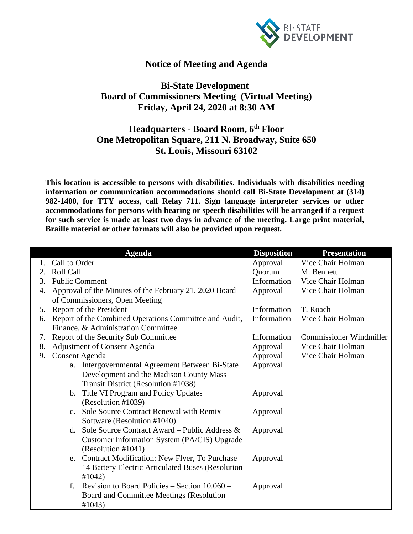

## **Notice of Meeting and Agenda**

## **Bi-State Development Board of Commissioners Meeting (Virtual Meeting) Friday, April 24, 2020 at 8:30 AM**

## **Headquarters - Board Room, 6th Floor One Metropolitan Square, 211 N. Broadway, Suite 650 St. Louis, Missouri 63102**

**This location is accessible to persons with disabilities. Individuals with disabilities needing information or communication accommodations should call Bi-State Development at (314) 982-1400, for TTY access, call Relay 711. Sign language interpreter services or other accommodations for persons with hearing or speech disabilities will be arranged if a request for such service is made at least two days in advance of the meeting. Large print material, Braille material or other formats will also be provided upon request.**

|    |                                     | <b>Agenda</b>                                          | <b>Disposition</b> | <b>Presentation</b>            |  |
|----|-------------------------------------|--------------------------------------------------------|--------------------|--------------------------------|--|
|    | Call to Order                       |                                                        | Approval           | Vice Chair Holman              |  |
| 2. | <b>Roll Call</b>                    |                                                        | Quorum             | M. Bennett                     |  |
| 3. |                                     | <b>Public Comment</b>                                  | Information        | Vice Chair Holman              |  |
| 4. |                                     | Approval of the Minutes of the February 21, 2020 Board | Approval           | Vice Chair Holman              |  |
|    |                                     | of Commissioners, Open Meeting                         |                    |                                |  |
| 5. |                                     | Report of the President                                | Information        | T. Roach                       |  |
| 6. |                                     | Report of the Combined Operations Committee and Audit, | Information        | Vice Chair Holman              |  |
|    | Finance, & Administration Committee |                                                        |                    |                                |  |
| 7. |                                     | Report of the Security Sub Committee                   | Information        | <b>Commissioner Windmiller</b> |  |
| 8. |                                     | <b>Adjustment of Consent Agenda</b>                    | Approval           | Vice Chair Holman              |  |
| 9. | <b>Consent Agenda</b>               |                                                        | Approval           | Vice Chair Holman              |  |
|    |                                     | a. Intergovernmental Agreement Between Bi-State        | Approval           |                                |  |
|    |                                     | Development and the Madison County Mass                |                    |                                |  |
|    |                                     | Transit District (Resolution #1038)                    |                    |                                |  |
|    | b.                                  | Title VI Program and Policy Updates                    | Approval           |                                |  |
|    |                                     | (Resolution #1039)                                     |                    |                                |  |
|    | $C_{-}$                             | Sole Source Contract Renewal with Remix                | Approval           |                                |  |
|    |                                     | Software (Resolution #1040)                            |                    |                                |  |
|    |                                     | d. Sole Source Contract Award – Public Address $\&$    | Approval           |                                |  |
|    |                                     | Customer Information System (PA/CIS) Upgrade           |                    |                                |  |
|    |                                     | (Resolution #1041)                                     |                    |                                |  |
|    |                                     | e. Contract Modification: New Flyer, To Purchase       | Approval           |                                |  |
|    |                                     | 14 Battery Electric Articulated Buses (Resolution      |                    |                                |  |
|    |                                     | #1042)                                                 |                    |                                |  |
|    | f.                                  | Revision to Board Policies – Section 10.060 –          | Approval           |                                |  |
|    |                                     | Board and Committee Meetings (Resolution               |                    |                                |  |
|    |                                     | #1043)                                                 |                    |                                |  |